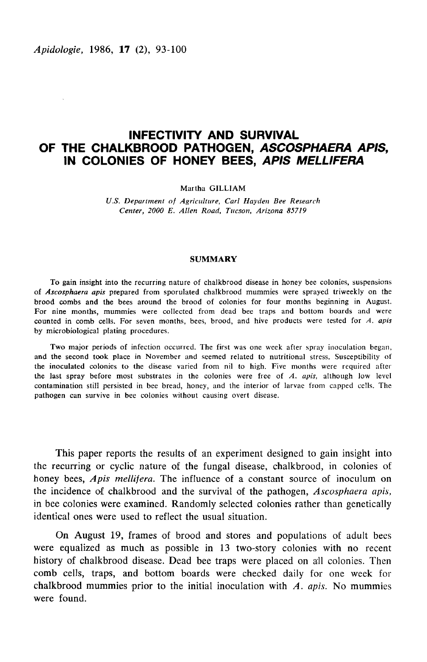Apidologie, 1986, 17 (2), 93-100

# INFECTIVITY AND SURVIVAL OF THE CHALKBROOD PATHOGEN, ASCOSPHAERA APIS, IN COLONIES OF HONEY BEES, APIS MELLIFERA

Martha GILLIAM

U.S. Department of Agriculture, Carl Hayden Bee Research Center, 2000 E. Allen Road, Tucson, Arizona 85719

#### SUMMARY

To gain insight into the recurring nature of chalkbrood disease in honey bee colonies, suspensions of Ascosphaera apis prepared from sporulated chalkbrood mummies were sprayed triweekly on the brood combs and the bees around the brood of colonies for four months beginning in August. For nine months, mummies were collected from dead bee traps and bottom boards and were counted in comb cells. For seven months, bees, brood, and hive products were tested for A. apis by microbiological plating procedures.

Two major periods of infection occurred. The first was one week after spray inoculation began, and the second took place in November and seemed related to nutritional stress. Susceptibility of the inoculated colonies to the disease varied from nil to high. Five months were required after the last spray before most substrates in the colonies were free of  $A$ , apis, although low level contamination still persisted in bee bread, honey, and the interior of larvae from capped cells. The pathogen can survive in bee colonies without causing overt disease.

This paper reports the results of an experiment designed to gain insight into the recurring or cyclic nature of the fungal disease, chalkbrood, in colonies of honey bees, Apis mellifera. The influence of a constant source of inoculum on the incidence of chalkbrood and the survival of the pathogen, Ascosphaera apis, in bee colonies were examined. Randomly selected colonies rather than genetically identical ones were used to reflect the usual situation.

On August 19, frames of brood and stores and populations of adult bees were equalized as much as possible in 13 two-story colonies with no recent history of chalkbrood disease. Dead bee traps were placed on all colonies. Then comb cells, traps, and bottom boards were checked daily for one week for chalkbrood mummies prior to the initial inoculation with  $A$ . apis. No mummies were found.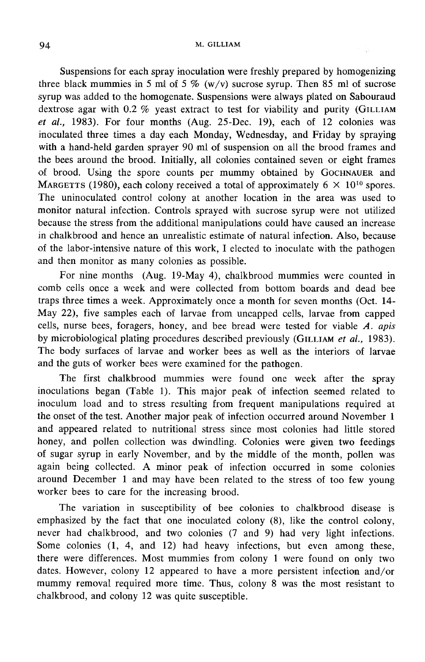Suspensions for each spray inoculation were freshly prepared by homogenizing three black mummies in 5 ml of 5  $\%$  (w/v) sucrose syrup. Then 85 ml of sucrose syrup was added to the homogenate. Suspensions were always plated on Sabouraud dextrose agar with  $0.2$  % yeast extract to test for viability and purity (GILLIAM et al., 1983). For four months (Aug. 25-Dec. 19), each of  $\overline{12}$  colonies was inoculated three times a day each Monday, Wednesday, and Friday by spraying with a hand-held garden sprayer 90 ml of suspension on all the brood frames and the bees around the brood. Initially, all colonies contained seven or eight frames dextrose agar with 0.2 % yeast extract to test for viability and purity (GILLIAM<br>*et al.*, 1983). For four months (Aug. 25-Dec. 19), each of 12 colonies was<br>inoculated three times a day each Monday, Wednesday, and Friday The uninoculated control colony at another location in the area was used to monitor natural infection. Controls sprayed with sucrose syrup were not utilized because the stress from the additional manipulations could have caused an increase in chalkbrood and hence an unrealistic estimate of natural infection. Also, because of the labor-intensive nature of this work, I elected to inoculate with the pathogen and then monitor as many colonies as possible.

For nine months (Aug. 19-May 4), chalkbrood mummies were counted in comb cells once a week and were collected from bottom boards and dead bee traps three times a week. Approximately once a month for seven months (Oct. 14- May 22), five samples each of larvae from uncapped cells, larvae from capped cells, nurse bees, foragers, honey, and bee bread were tested for viable A. apis May 22), five samples each of larvae from uncapped cells, larvae from capped<br>cells, nurse bees, foragers, honey, and bee bread were tested for viable A. apis<br>by microbiological plating procedures described previously (GIL The body surfaces of larvae and worker bees as well as the interiors of larvae and the guts of worker bees were examined for the pathogen.

The first chalkbrood mummies were found one week after the spray inoculations began (Table 1). This major peak of infection seemed related to inoculum load and to stress resulting from frequent manipulations required at the onset of the test. Another major peak of infection occurred around November 1 and appeared related to nutritional stress since most colonies had little stored honey, and pollen collection was dwindling. Colonies were given two feedings of sugar syrup in early November, and by the middle of the month, pollen was again being collected. A minor peak of infection occurred in some colonies around December 1 and may have been related to the stress of too few young worker bees to care for the increasing brood.

The variation in susceptibility of bee colonies to chalkbrood disease is emphasized by the fact that one inoculated colony (8), like the control colony, never had chalkbrood, and two colonies (7 and 9) had very light infections. Some colonies (1, 4, and 12) had heavy infections, but even among these, there were differences. Most mummies from colony 1 were found on only two dates. However, colony 12 appeared to have a more persistent infection and/or mummy removal required more time. Thus, colony 8 was the most resistant to chalkbrood, and colony 12 was quite susceptible.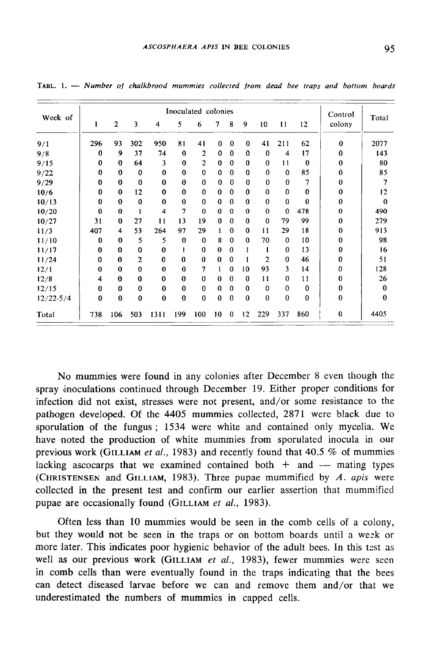| Week of       |              |              |                |             |             | Inoculated colonies |          |             |          |                |                |          | Control      | Total    |
|---------------|--------------|--------------|----------------|-------------|-------------|---------------------|----------|-------------|----------|----------------|----------------|----------|--------------|----------|
|               | $\mathbf{1}$ | $\mathbf{2}$ | 3              | 4           | 5           | 6                   | 7        | 8           | 9        | 10             | 11             | 12       | colony       |          |
| 9/1           | 296          | 93           | 302            | 950         | 81          | 41                  | $\bf{0}$ | $\bf{0}$    | $\bf{0}$ | 41             | 211            | 62       | $\mathbf{0}$ | 2077     |
| 9/8           | 0            | 9            | 37             | 74          | $\bf{0}$    | $\overline{2}$      | 0        | $\bf{0}$    | 0        | $\bf{0}$       | $\overline{4}$ | 17       | 0            | 143      |
| 9/15          | 0            | 0            | 64             | 3           | $\bf{0}$    | $\mathbf{2}$        | $\bf{0}$ | 0           | $\bf{0}$ | $\bf{0}$       | 11             | $\bf{0}$ | $\bf{0}$     | 80       |
| 9/22          | $\Omega$     | $\mathbf{0}$ | $\bf{0}$       | $\bf{0}$    | $\Omega$    | $\bf{0}$            | $\Omega$ | $\theta$    | $\bf{0}$ | $\bf{0}$       | $\mathbf 0$    | 85       | $\bf{0}$     | 85       |
| 9/29          | 0            | 0            | $\bf{0}$       | 0           | $\bf{0}$    | 0                   | $\bf{0}$ | $\mathbf 0$ | $\bf{0}$ | 0              | $\bf{0}$       | 7        | $\Omega$     | 7        |
| 10/6          | 0            | $\bf{0}$     | 12             | $\bf{0}$    | $\mathbf 0$ | $\mathbf 0$         | $\bf{0}$ | $\bf{0}$    | $\bf{0}$ | $\bf{0}$       | $\bf{0}$       | 0        | 0            | 12       |
| 10/13         | $\bf{0}$     | 0            | $\bf{0}$       | $\bf{0}$    | $\bf{0}$    | 0                   | 0        | $\bf{0}$    | $\bf{0}$ | $\bf{0}$       | $\bf{0}$       | 0        | $\bf{0}$     | 0        |
| 10/20         | $\bf{0}$     | $\bf{0}$     | 1              | 4           | 7           | $\mathbf 0$         | 0        | $\bf{0}$    | $\bf{0}$ | $\mathbf{0}$   | $\mathbf 0$    | 478      | $\Omega$     | 490      |
| 10/27         | 31           | 0            | 27             | 11          | 13          | 19                  | $\bf{0}$ | $\Omega$    | $\bf{0}$ | $\bf{0}$       | 79             | 99       | $\Omega$     | 279      |
| 11/3          | 407          | 4            | 53             | 264         | 97          | 29                  | 1        | $\bf{0}$    | 0        | 11             | 29             | 18       | $\bf{0}$     | 913      |
| 11/10         | 0            | $\mathbf 0$  | 5              | 5           | $\mathbf 0$ | $\mathbf 0$         | 8        | $\bf{0}$    | $\bf{0}$ | 70             | $\mathbf 0$    | 10       | $\mathbf 0$  | 98       |
| 11/17         | $\bf{0}$     | $\bf{0}$     | 0              | 0           | 1           | $\mathbf 0$         | $\bf{0}$ | $\bf{0}$    | 1        | 1              | $\bf{0}$       | 13       | 0            | 16       |
| 11/24         | $\Omega$     | $\bf{0}$     | $\overline{c}$ | $\bf{0}$    | $\bf{0}$    | $\bf{0}$            | $\bf{0}$ | $\Omega$    | 1        | $\overline{2}$ | $\bf{0}$       | 46       | 0            | 51       |
| 12/1          | $\Omega$     | $\mathbf 0$  | $\bf{0}$       | $\bf{0}$    | $\bf{0}$    | 7                   | 1        | 0           | 10       | 93             | 3              | 14       | $\Omega$     | 128      |
| 12/8          | 4            | $\bf{0}$     | $\bf{0}$       | $\mathbf 0$ | $\bf{0}$    | $\bf{0}$            | $\bf{0}$ | $\bf{0}$    | 0        | 11             | 0              | 11       | $\bf{0}$     | 26       |
| 12/15         | $\bf{0}$     | $\bf{0}$     | $\bf{0}$       | $\bf{0}$    | $\bf{0}$    | $\bf{0}$            | 0        | $\Omega$    | 0        | $\bf{0}$       | $\bf{0}$       | $\bf{0}$ | $\bf{0}$     | 0        |
| $12/22 - 5/4$ | $\bf{0}$     | 0            | $\bf{0}$       | $\bf{0}$    | $\mathbf 0$ | $\bf{0}$            | 0        | $\bf{0}$    | $\bf{0}$ | $\bf{0}$       | $\bf{0}$       | $\bf{0}$ | $\Omega$     | $\bf{0}$ |
| Total         | 738          | 106          | 503            | 1311        | 199         | 100                 | 10       | $\bf{0}$    | 12       | 229            | 337            | 860      | $\bf{0}$     | 4405     |

TABL. 1. --- Number of chalkbrood mummies collected from dead bee traps and bottom boards

No mummies were found in any colonies after December 8 even though the spray inoculations continued through December 19. Either proper conditions for infection did not exist, stresses were not present, and/or some resistance to the pathogen developed. Of the 4405 mummies collected, 2871 were black due to sporulation of the fungus ; 1534 were white and contained only mycelia. We have noted the production of white mummies from sporulated inocula in our previous work (GILLIAM et al., 1983) and recently found that 40.5  $%$  of mummies lacking ascocarps that we examined contained both  $+$  and  $-$  mating types (CHRISTENSEN and GILLIAM, 1983). Three pupae mummified by *A. apis* were have noted the production of white mummies from sporulated inocula in our previous work (GILLIAM *et al.*, 1983) and recently found that 40.5 % of mummies lacking ascocarps that we examined contained both  $+$  and  $-$  mati (CHRISTENSEN and GILLIAM, 1983). Three pupae n<br>collected in the present test and confirm our earlie<br>pupae are occasionally found (GILLIAM *et al.*, 1983).

Often less than 10 mummies would be seen in the comb cells of a colony, but they would not be seen in the traps or on bottom boards until a wesk or more later. This indicates poor hygienic behavior of the adult bees. In this test as<br>well as our previous work (GILLIAM *et al.*, 1983), fewer mummies were seen<br>in somb salla that was separated by faund in the tests in dis in comb cells than were eventually found in the traps indicating that the bees can detect diseased larvae before we can and remove them and/or that we underestimated the numbers of mummies in capped cells.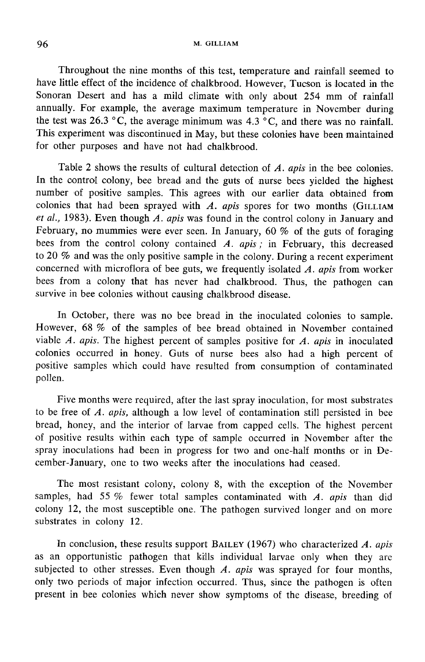Throughout the nine months of this test, temperature and rainfall seemed to have little effect of the incidence of chalkbrood. However, Tucson is located in the Sonoran Desert and has a mild climate with only about 254 mm of rainfall annually. For example, the average maximum temperature in November during the test was 26.3 °C, the average minimum was  $4.3$  °C, and there was no rainfall. This experiment was discontinued in May, but these colonies have been maintained for other purposes and have not had chalkbrood.

Table 2 shows the results of cultural detection of A. apis in the bee colonies. In the control colony, bee bread and the guts of nurse bees yielded the highest number of positive samples. This agrees with our earlier data obtained from colonies that had been sprayed with  $A$ . apis spores for two months (GILLIAM et al., 1983). Even though A. apis was found in the control colony in January and February, no mummies were ever seen. In January, 60 % of the guts of foraging bees from the control colony contained A.  $apis$ ; in February, this decreased to 20 % and was the only positive sample in the colony. During a recent experiment concerned with microflora of bee guts, we frequently isolated  $\overline{A}$ . apis from worker bees from a colony that has never had chalkbrood. Thus, the pathogen can survive in bee colonies without causing chalkbrood disease.

In October, there was no bee bread in the inoculated colonies to sample. However, 68 % of the samples of bee bread obtained in November contained viable  $A$ . apis. The highest percent of samples positive for  $A$ . apis in inoculated colonies occurred in honey. Guts of nurse bees also had a high percent of positive samples which could have resulted from consumption of contaminated pollen.

Five months were required, after the last spray inoculation, for most substrates to be free of  $A$ . apis, although a low level of contamination still persisted in bee bread, honey, and the interior of larvae from capped cells. The highest percent of positive results within each type of sample occurred in November after the spray inoculations had been in progress for two and one-half months or in December-January, one to two weeks after the inoculations had ceased.

The most resistant colony, colony 8, with the exception of the November samples, had 55 % fewer total samples contaminated with  $A$ . apis than did colony 12, the most susceptible one. The pathogen survived longer and on more substrates in colony 12.

In conclusion, these results support BAILEY (1967) who characterized  $A$ . apis as an opportunistic pathogen that kills individual larvae only when they are subjected to other stresses. Even though  $A$ . apis was sprayed for four months, only two periods of major infection occurred. Thus, since the pathogen is often present in bee colonies which never show symptoms of the disease, breeding of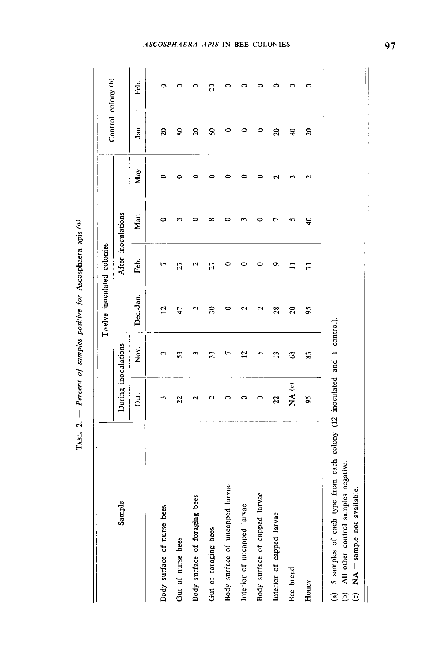| Ś               |
|-----------------|
| apis            |
| scosphaer       |
| jor             |
| <b>vositive</b> |
| samples         |
| ō               |
| 'ercent         |
| l               |
|                 |
| TABL.           |

|                                  |                     |                | Twelve inoculated colonies |                    |                         |     | Control colony (b)         |                 |
|----------------------------------|---------------------|----------------|----------------------------|--------------------|-------------------------|-----|----------------------------|-----------------|
| Sample                           | During inoculations |                |                            | After inoculations |                         |     |                            |                 |
|                                  | Ōci.                | Nov.           | Dec.-Jan.                  | Feb.               | Mar.                    | May | Jan.                       | Feb.            |
| Body surface of nurse bees       | 3                   | z              | 5                          | r                  | 0                       | 0   | $\boldsymbol{\mathcal{Z}}$ | 0               |
| Gut of nurse bees                | 22                  | 53             | 47                         | 27                 |                         | 0   | $\overline{\phantom{0}}$   | 0               |
| bees<br>Body surface of foraging | Σ                   | 3              | $\mathbf{\hat{c}}$         | N                  |                         | ᅌ   | $\mathfrak{g}$             | 0               |
| Gut of foraging bees             | N                   | 33             | $\approx$                  | 27                 | ∞                       | ≏   | S                          | $\overline{20}$ |
| Body surface of uncapped larvae  | 0                   | r              | $\circ$                    | 0                  |                         | 0   | 0                          | 0               |
| Interior of uncapped larvae      | 0                   | $\overline{c}$ | $\mathbf{\hat{c}}$         | ∊                  |                         |     | 0                          | 0               |
| larvae<br>Body surface of capped | 0                   | n              | 2                          | c                  |                         | ○   | $\circ$                    | ⊂               |
| Interior of capped larvae        | 22                  | $\mathbf{L}$   | 28                         | ๑                  |                         | N   | 20                         | ≏               |
| Bee bread                        | NA (c)              | $\frac{8}{3}$  | $\mathbb{S}$               | $\equiv$           | ທ                       |     | 80                         | $\bullet$       |
| Honey                            | $\mathbf{5}$        | 83             | 95                         | $\overline{71}$    | $\overline{\mathbf{d}}$ | N   | 20                         | 0               |
|                                  |                     |                |                            |                    |                         |     |                            |                 |

5 samples of each type from each colony (12 inoculated and 1 control).

All other control samples negative.  $NA =$  sample not available.  $\widehat{\mathfrak{g}} \widehat{\mathfrak{g}} \widehat{\mathfrak{g}}$ 

║

ASCOSPHAERA APIS IN BEE COLONIES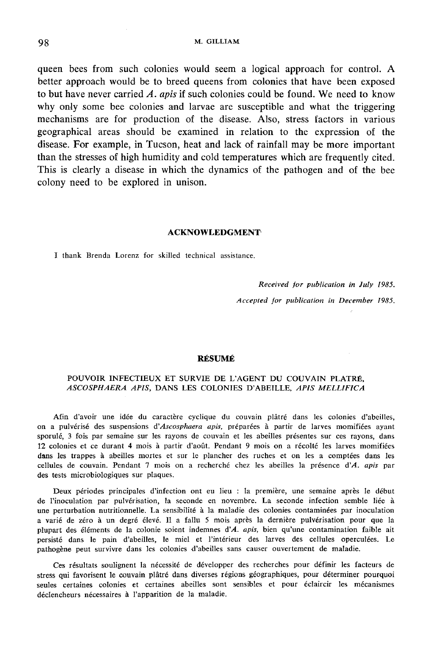queen bees from such colonies would seem a logical approach for control. A better approach would be to breed queens from colonies that have been exposed to but have never carried  $\vec{A}$ . apis if such colonies could be found. We need to know why only some bee colonies and larvae are susceptible and what the triggering mechanisms are for production of the disease. Also, stress factors in various geographical areas should be examined in relation to the expression of the disease. For example, in Tucson, heat and lack of rainfall may be more important than the stresses of high humidity and cold temperatures which are frequently cited. This is clearly a disease in which the dynamics of the pathogen and of the bee colony need to be explored in unison.

#### ACKNOWLEDGMENT

I thank Brenda Lorenz for skilled technical assistance.

# Received for publication in July 1985.

Accepted for publication in December 1985.

### RÉSUMÉ

# POUVOIR INFECTIEUX ET SURVIE DE L'AGENT DU COUVAIN PLATRÉ, ASCOSPHAERA APIS, DANS LES COLONIES D'ABEILLE, APIS MELLIFICA

Afin d'avoir une idée du caractère cyclique du couvain plâtré dans les colonies d'abeilles, on a pulvérisé des suspensions d'Ascosphaera apis, préparées à partir de larves momifiées ayant sporulé, 3 fois par semaine sur les rayons de couvain et les abeilles présentes sur ces rayons, dans 12 colonies et ce durant 4 mois à partir d'août. Pendant 9 mois on a récolté les larves momifiées dans les trappes à abeilles mortes et sur le plancher des ruches et on les a comptées dans les cellules de couvain. Pendant 7 mois on a recherché chez les abeilles la présence d'A. apis par des tests microbiologiques sur plaques.

Deux périodes principales d'infection ont eu lieu : la première, une semaine après le début de l'inoculation par pulvérisation, la seconde en novembre. La seconde infection semble liée à une perturbation nutritionnelle. La sensibilité à la maladie des colonies contaminées par inoculation a varié de zéro à un degré élevé. Il a fallu 5 mois après la dernière pulvérisation pour que la plupart des éléments de la colonie soient indemnes d'A. apis, bien qu'une contamination faible ait persisté dans le pain d'abeilles, le miel et l'intérieur des larves des cellules operculées. Le pathogène peut survivre dans les colonies d'abeilles sans causer ouvertement de maladie.

Ces résultats soulignent la nécessité de développer des recherches pour définir les facteurs de stress qui favorisent le couvain plâtré dans diverses régions géographiques, pour déterminer pourquoi seules certaines colonies et certaines abeilles sont sensibles et pour éclaircir les mécanismes déclencheurs nécessaires à l'apparition de la maladie.